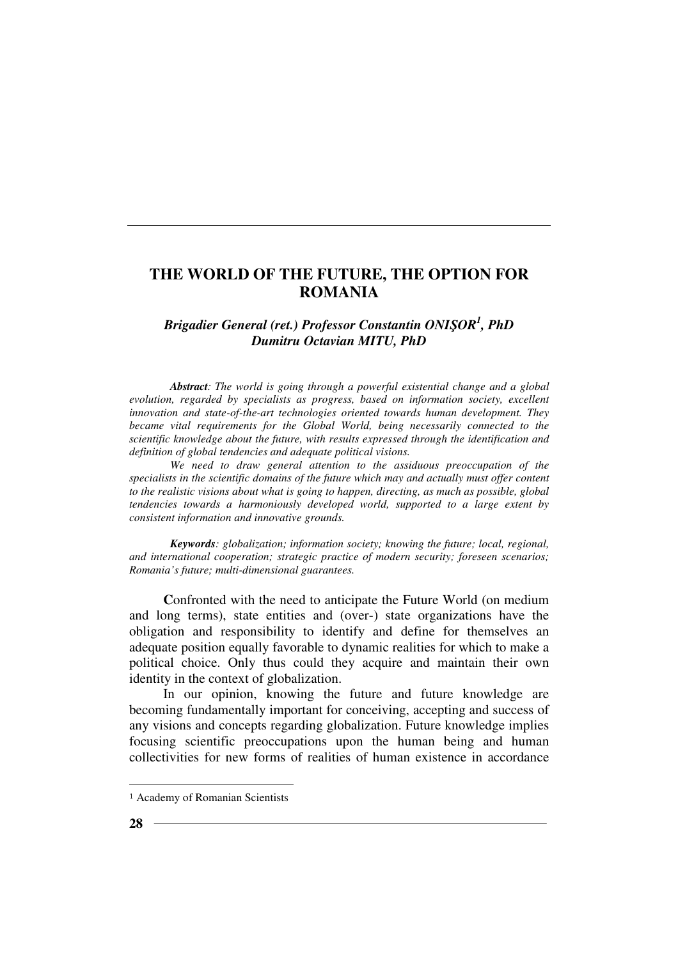## *Brigadier General (ret.) Professor Constantin ONIŞOR<sup>1</sup> , PhD Dumitru Octavian MITU, PhD*

*Abstract: The world is going through a powerful existential change and a global evolution, regarded by specialists as progress, based on information society, excellent innovation and state-of-the-art technologies oriented towards human development. They became vital requirements for the Global World, being necessarily connected to the scientific knowledge about the future, with results expressed through the identification and definition of global tendencies and adequate political visions.* 

*We need to draw general attention to the assiduous preoccupation of the specialists in the scientific domains of the future which may and actually must offer content to the realistic visions about what is going to happen, directing, as much as possible, global tendencies towards a harmoniously developed world, supported to a large extent by consistent information and innovative grounds.* 

*Keywords: globalization; information society; knowing the future; local, regional, and international cooperation; strategic practice of modern security; foreseen scenarios; Romania's future; multi-dimensional guarantees.* 

Confronted with the need to anticipate the Future World (on medium and long terms), state entities and (over-) state organizations have the obligation and responsibility to identify and define for themselves an adequate position equally favorable to dynamic realities for which to make a political choice. Only thus could they acquire and maintain their own identity in the context of globalization.

In our opinion, knowing the future and future knowledge are becoming fundamentally important for conceiving, accepting and success of any visions and concepts regarding globalization. Future knowledge implies focusing scientific preoccupations upon the human being and human collectivities for new forms of realities of human existence in accordance

 $\overline{a}$ 

<sup>1</sup> Academy of Romanian Scientists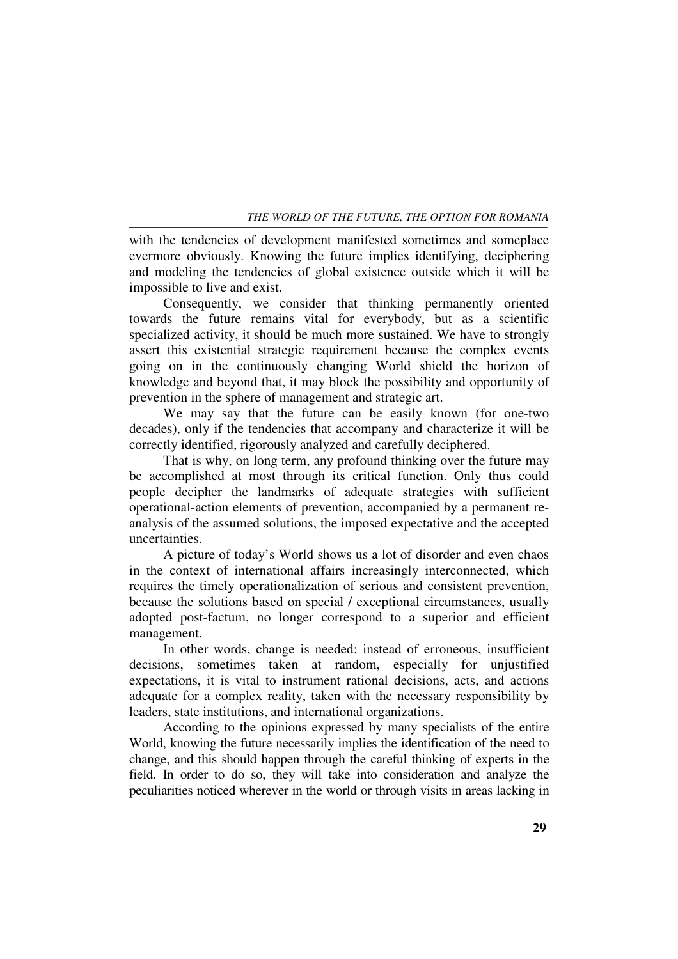with the tendencies of development manifested sometimes and someplace evermore obviously. Knowing the future implies identifying, deciphering and modeling the tendencies of global existence outside which it will be impossible to live and exist.

Consequently, we consider that thinking permanently oriented towards the future remains vital for everybody, but as a scientific specialized activity, it should be much more sustained. We have to strongly assert this existential strategic requirement because the complex events going on in the continuously changing World shield the horizon of knowledge and beyond that, it may block the possibility and opportunity of prevention in the sphere of management and strategic art.

We may say that the future can be easily known (for one-two decades), only if the tendencies that accompany and characterize it will be correctly identified, rigorously analyzed and carefully deciphered.

That is why, on long term, any profound thinking over the future may be accomplished at most through its critical function. Only thus could people decipher the landmarks of adequate strategies with sufficient operational-action elements of prevention, accompanied by a permanent reanalysis of the assumed solutions, the imposed expectative and the accepted uncertainties.

A picture of today's World shows us a lot of disorder and even chaos in the context of international affairs increasingly interconnected, which requires the timely operationalization of serious and consistent prevention, because the solutions based on special / exceptional circumstances, usually adopted post-factum, no longer correspond to a superior and efficient management.

In other words, change is needed: instead of erroneous, insufficient decisions, sometimes taken at random, especially for unjustified expectations, it is vital to instrument rational decisions, acts, and actions adequate for a complex reality, taken with the necessary responsibility by leaders, state institutions, and international organizations.

According to the opinions expressed by many specialists of the entire World, knowing the future necessarily implies the identification of the need to change, and this should happen through the careful thinking of experts in the field. In order to do so, they will take into consideration and analyze the peculiarities noticed wherever in the world or through visits in areas lacking in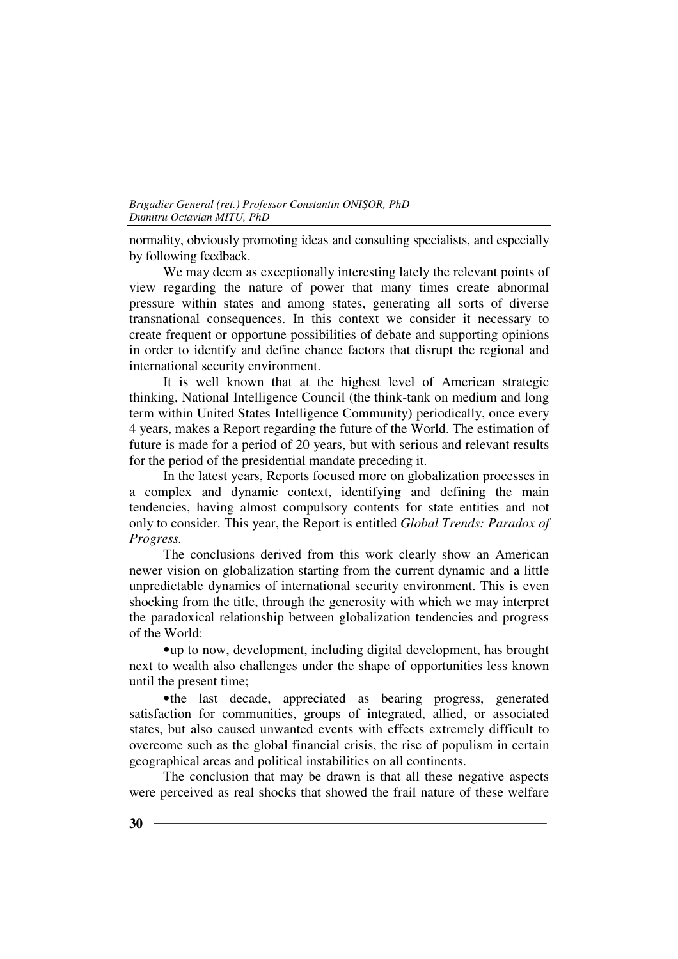normality, obviously promoting ideas and consulting specialists, and especially by following feedback.

We may deem as exceptionally interesting lately the relevant points of view regarding the nature of power that many times create abnormal pressure within states and among states, generating all sorts of diverse transnational consequences. In this context we consider it necessary to create frequent or opportune possibilities of debate and supporting opinions in order to identify and define chance factors that disrupt the regional and international security environment.

It is well known that at the highest level of American strategic thinking, National Intelligence Council (the think-tank on medium and long term within United States Intelligence Community) periodically, once every 4 years, makes a Report regarding the future of the World. The estimation of future is made for a period of 20 years, but with serious and relevant results for the period of the presidential mandate preceding it.

In the latest years, Reports focused more on globalization processes in a complex and dynamic context, identifying and defining the main tendencies, having almost compulsory contents for state entities and not only to consider. This year, the Report is entitled *Global Trends: Paradox of Progress.* 

The conclusions derived from this work clearly show an American newer vision on globalization starting from the current dynamic and a little unpredictable dynamics of international security environment. This is even shocking from the title, through the generosity with which we may interpret the paradoxical relationship between globalization tendencies and progress of the World:

•up to now, development, including digital development, has brought next to wealth also challenges under the shape of opportunities less known until the present time;

•the last decade, appreciated as bearing progress, generated satisfaction for communities, groups of integrated, allied, or associated states, but also caused unwanted events with effects extremely difficult to overcome such as the global financial crisis, the rise of populism in certain geographical areas and political instabilities on all continents.

The conclusion that may be drawn is that all these negative aspects were perceived as real shocks that showed the frail nature of these welfare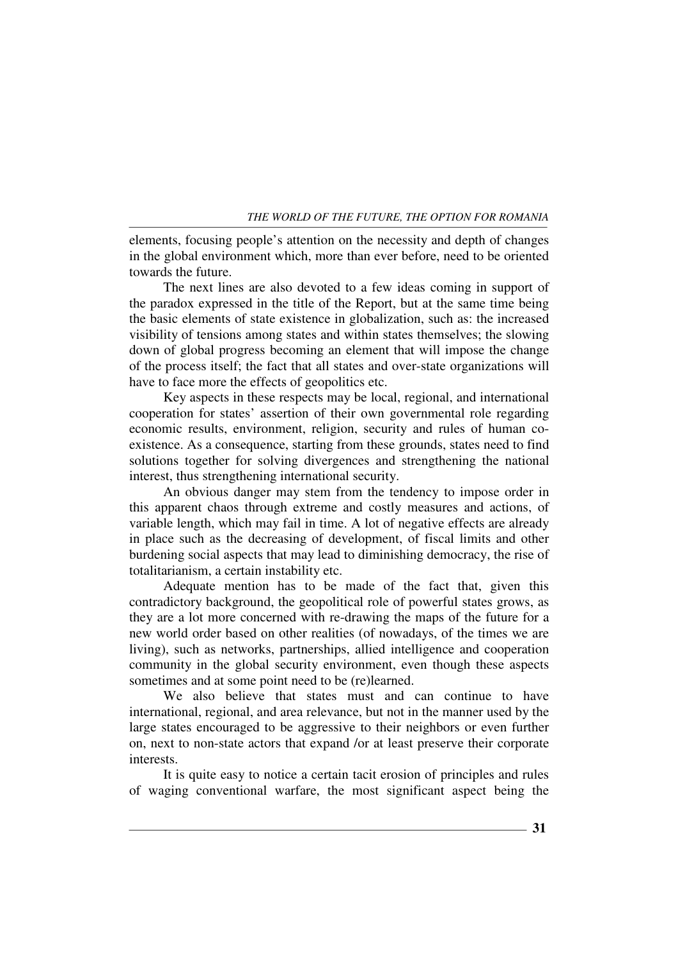elements, focusing people's attention on the necessity and depth of changes in the global environment which, more than ever before, need to be oriented towards the future.

The next lines are also devoted to a few ideas coming in support of the paradox expressed in the title of the Report, but at the same time being the basic elements of state existence in globalization, such as: the increased visibility of tensions among states and within states themselves; the slowing down of global progress becoming an element that will impose the change of the process itself; the fact that all states and over-state organizations will have to face more the effects of geopolitics etc.

Key aspects in these respects may be local, regional, and international cooperation for states' assertion of their own governmental role regarding economic results, environment, religion, security and rules of human coexistence. As a consequence, starting from these grounds, states need to find solutions together for solving divergences and strengthening the national interest, thus strengthening international security.

An obvious danger may stem from the tendency to impose order in this apparent chaos through extreme and costly measures and actions, of variable length, which may fail in time. A lot of negative effects are already in place such as the decreasing of development, of fiscal limits and other burdening social aspects that may lead to diminishing democracy, the rise of totalitarianism, a certain instability etc.

Adequate mention has to be made of the fact that, given this contradictory background, the geopolitical role of powerful states grows, as they are a lot more concerned with re-drawing the maps of the future for a new world order based on other realities (of nowadays, of the times we are living), such as networks, partnerships, allied intelligence and cooperation community in the global security environment, even though these aspects sometimes and at some point need to be (re)learned.

We also believe that states must and can continue to have international, regional, and area relevance, but not in the manner used by the large states encouraged to be aggressive to their neighbors or even further on, next to non-state actors that expand /or at least preserve their corporate interests.

It is quite easy to notice a certain tacit erosion of principles and rules of waging conventional warfare, the most significant aspect being the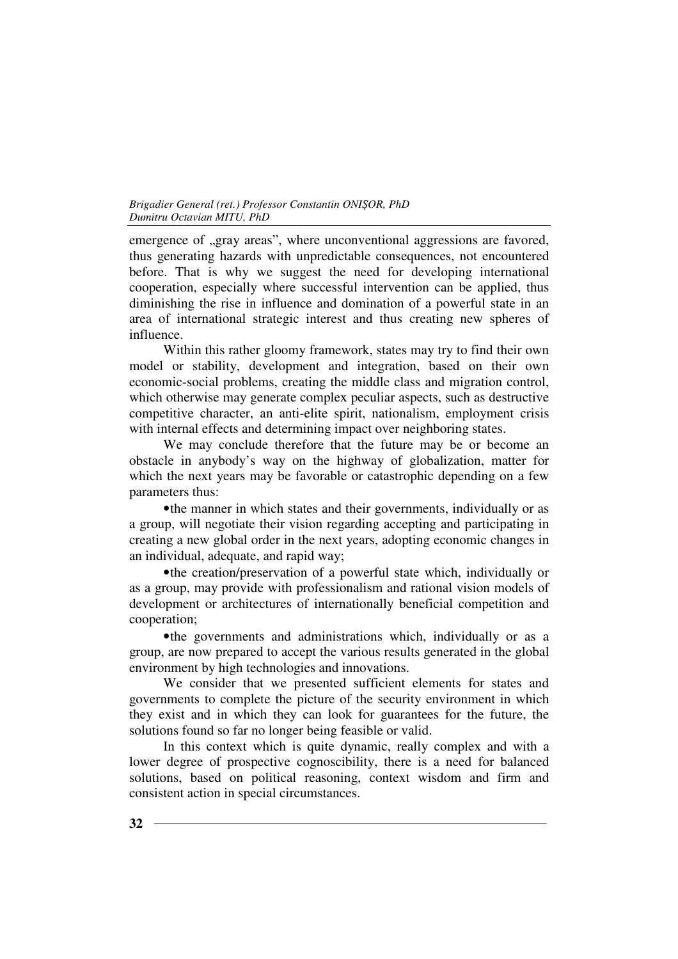emergence of "gray areas", where unconventional aggressions are favored, thus generating hazards with unpredictable consequences, not encountered before. That is why we suggest the need for developing international cooperation, especially where successful intervention can be applied, thus diminishing the rise in influence and domination of a powerful state in an area of international strategic interest and thus creating new spheres of influence.

Within this rather gloomy framework, states may try to find their own model or stability, development and integration, based on their own economic-social problems, creating the middle class and migration control, which otherwise may generate complex peculiar aspects, such as destructive competitive character, an anti-elite spirit, nationalism, employment crisis with internal effects and determining impact over neighboring states.

We may conclude therefore that the future may be or become an obstacle in anybody's way on the highway of globalization, matter for which the next years may be favorable or catastrophic depending on a few parameters thus:

•the manner in which states and their governments, individually or as a group, will negotiate their vision regarding accepting and participating in creating a new global order in the next years, adopting economic changes in an individual, adequate, and rapid way;

•the creation/preservation of a powerful state which, individually or as a group, may provide with professionalism and rational vision models of development or architectures of internationally beneficial competition and cooperation;

•the governments and administrations which, individually or as a group, are now prepared to accept the various results generated in the global environment by high technologies and innovations.

We consider that we presented sufficient elements for states and governments to complete the picture of the security environment in which they exist and in which they can look for guarantees for the future, the solutions found so far no longer being feasible or valid.

In this context which is quite dynamic, really complex and with a lower degree of prospective cognoscibility, there is a need for balanced solutions, based on political reasoning, context wisdom and firm and consistent action in special circumstances.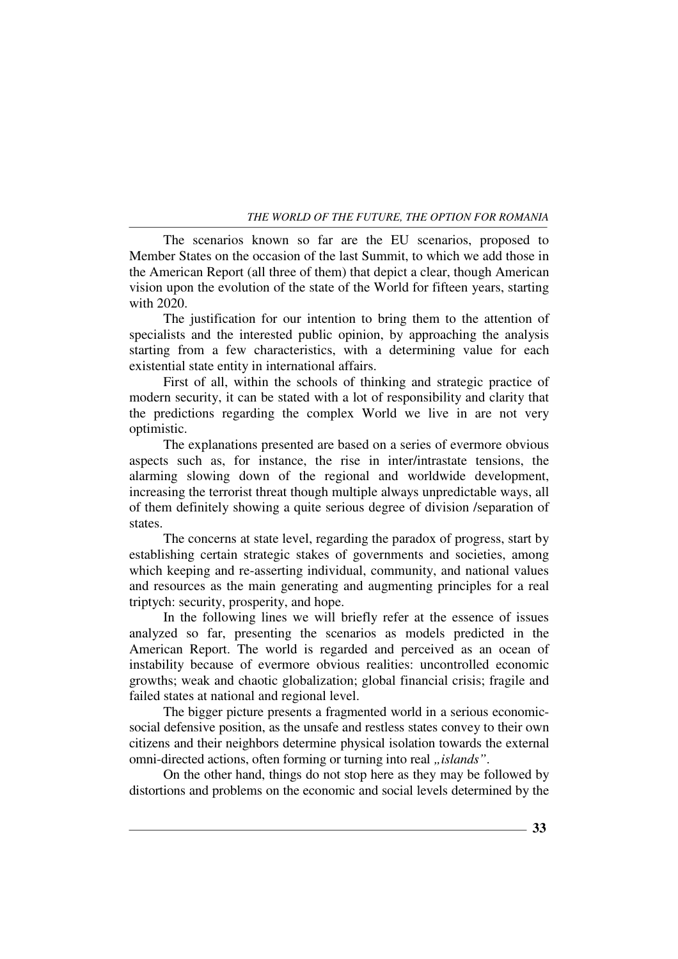The scenarios known so far are the EU scenarios, proposed to Member States on the occasion of the last Summit, to which we add those in the American Report (all three of them) that depict a clear, though American vision upon the evolution of the state of the World for fifteen years, starting with 2020.

The justification for our intention to bring them to the attention of specialists and the interested public opinion, by approaching the analysis starting from a few characteristics, with a determining value for each existential state entity in international affairs.

First of all, within the schools of thinking and strategic practice of modern security, it can be stated with a lot of responsibility and clarity that the predictions regarding the complex World we live in are not very optimistic.

The explanations presented are based on a series of evermore obvious aspects such as, for instance, the rise in inter/intrastate tensions, the alarming slowing down of the regional and worldwide development, increasing the terrorist threat though multiple always unpredictable ways, all of them definitely showing a quite serious degree of division /separation of states.

The concerns at state level, regarding the paradox of progress, start by establishing certain strategic stakes of governments and societies, among which keeping and re-asserting individual, community, and national values and resources as the main generating and augmenting principles for a real triptych: security, prosperity, and hope.

In the following lines we will briefly refer at the essence of issues analyzed so far, presenting the scenarios as models predicted in the American Report. The world is regarded and perceived as an ocean of instability because of evermore obvious realities: uncontrolled economic growths; weak and chaotic globalization; global financial crisis; fragile and failed states at national and regional level.

The bigger picture presents a fragmented world in a serious economicsocial defensive position, as the unsafe and restless states convey to their own citizens and their neighbors determine physical isolation towards the external omni-directed actions, often forming or turning into real "*islands*".

On the other hand, things do not stop here as they may be followed by distortions and problems on the economic and social levels determined by the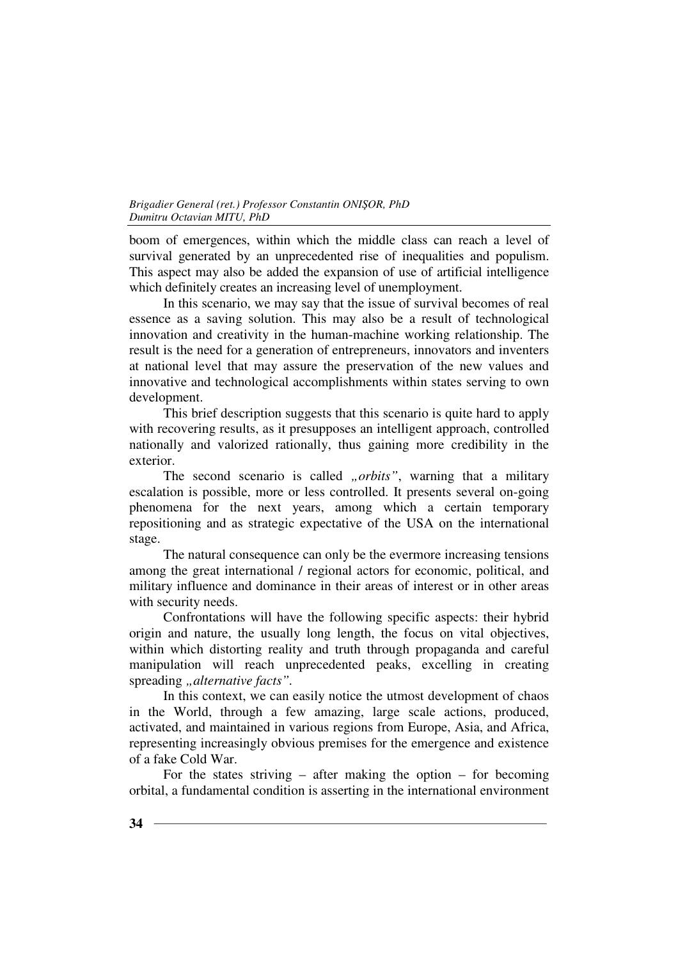boom of emergences, within which the middle class can reach a level of survival generated by an unprecedented rise of inequalities and populism. This aspect may also be added the expansion of use of artificial intelligence which definitely creates an increasing level of unemployment.

In this scenario, we may say that the issue of survival becomes of real essence as a saving solution. This may also be a result of technological innovation and creativity in the human-machine working relationship. The result is the need for a generation of entrepreneurs, innovators and inventers at national level that may assure the preservation of the new values and innovative and technological accomplishments within states serving to own development.

This brief description suggests that this scenario is quite hard to apply with recovering results, as it presupposes an intelligent approach, controlled nationally and valorized rationally, thus gaining more credibility in the exterior.

The second scenario is called *"orbits*", warning that a military escalation is possible, more or less controlled. It presents several on-going phenomena for the next years, among which a certain temporary repositioning and as strategic expectative of the USA on the international stage.

The natural consequence can only be the evermore increasing tensions among the great international / regional actors for economic, political, and military influence and dominance in their areas of interest or in other areas with security needs.

Confrontations will have the following specific aspects: their hybrid origin and nature, the usually long length, the focus on vital objectives, within which distorting reality and truth through propaganda and careful manipulation will reach unprecedented peaks, excelling in creating spreading *"alternative facts*".

In this context, we can easily notice the utmost development of chaos in the World, through a few amazing, large scale actions, produced, activated, and maintained in various regions from Europe, Asia, and Africa, representing increasingly obvious premises for the emergence and existence of a fake Cold War.

For the states striving – after making the option – for becoming orbital, a fundamental condition is asserting in the international environment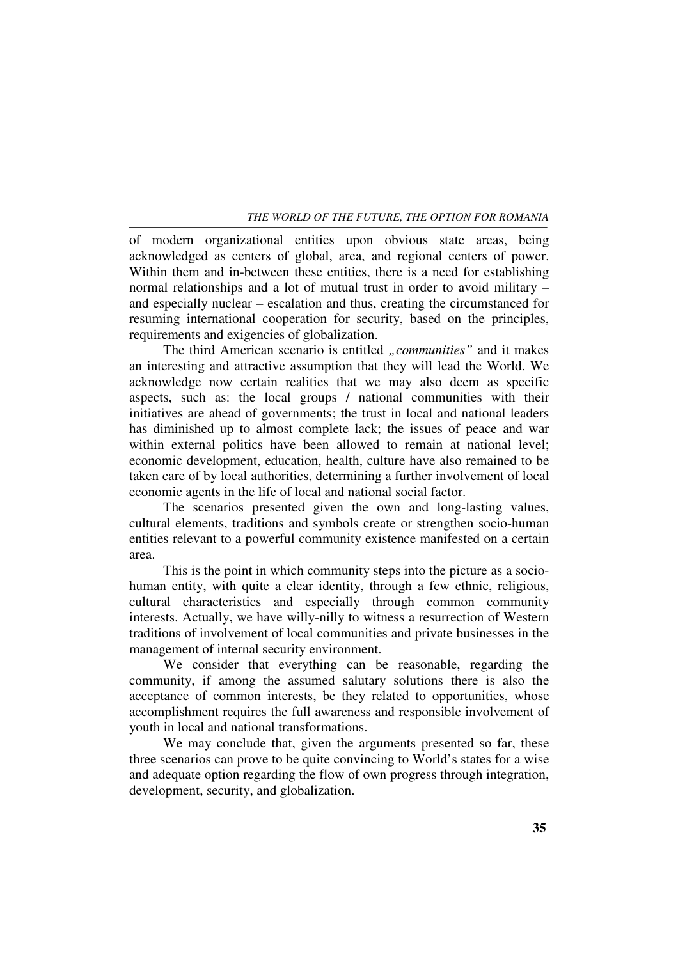of modern organizational entities upon obvious state areas, being acknowledged as centers of global, area, and regional centers of power. Within them and in-between these entities, there is a need for establishing normal relationships and a lot of mutual trust in order to avoid military – and especially nuclear – escalation and thus, creating the circumstanced for resuming international cooperation for security, based on the principles, requirements and exigencies of globalization.

The third American scenario is entitled *"communities*" and it makes an interesting and attractive assumption that they will lead the World. We acknowledge now certain realities that we may also deem as specific aspects, such as: the local groups / national communities with their initiatives are ahead of governments; the trust in local and national leaders has diminished up to almost complete lack; the issues of peace and war within external politics have been allowed to remain at national level; economic development, education, health, culture have also remained to be taken care of by local authorities, determining a further involvement of local economic agents in the life of local and national social factor.

The scenarios presented given the own and long-lasting values, cultural elements, traditions and symbols create or strengthen socio-human entities relevant to a powerful community existence manifested on a certain area.

This is the point in which community steps into the picture as a sociohuman entity, with quite a clear identity, through a few ethnic, religious, cultural characteristics and especially through common community interests. Actually, we have willy-nilly to witness a resurrection of Western traditions of involvement of local communities and private businesses in the management of internal security environment.

We consider that everything can be reasonable, regarding the community, if among the assumed salutary solutions there is also the acceptance of common interests, be they related to opportunities, whose accomplishment requires the full awareness and responsible involvement of youth in local and national transformations.

We may conclude that, given the arguments presented so far, these three scenarios can prove to be quite convincing to World's states for a wise and adequate option regarding the flow of own progress through integration, development, security, and globalization.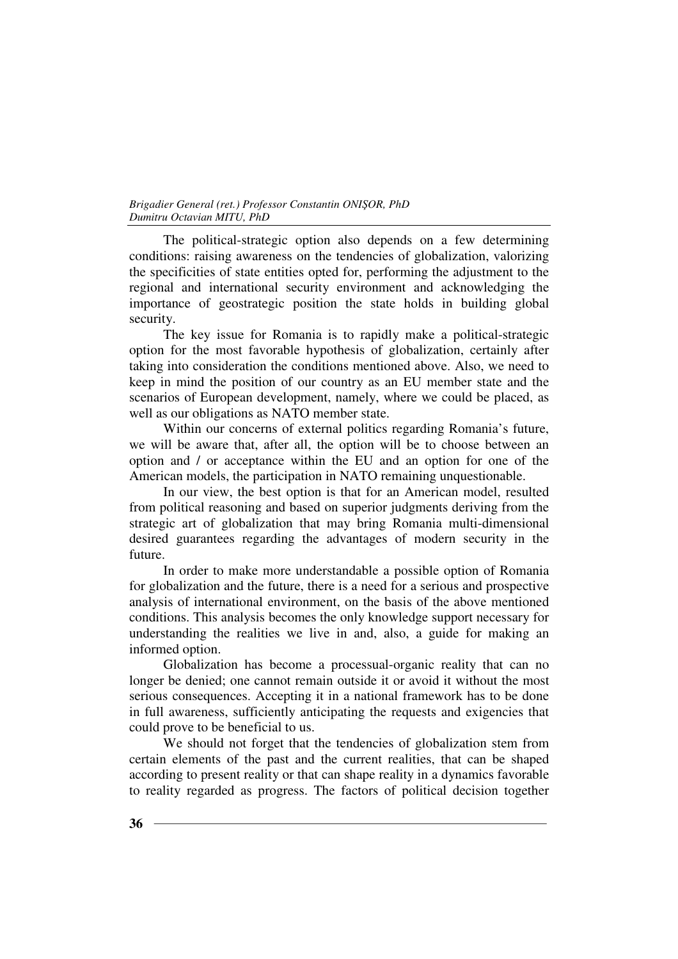The political-strategic option also depends on a few determining conditions: raising awareness on the tendencies of globalization, valorizing the specificities of state entities opted for, performing the adjustment to the regional and international security environment and acknowledging the importance of geostrategic position the state holds in building global security.

The key issue for Romania is to rapidly make a political-strategic option for the most favorable hypothesis of globalization, certainly after taking into consideration the conditions mentioned above. Also, we need to keep in mind the position of our country as an EU member state and the scenarios of European development, namely, where we could be placed, as well as our obligations as NATO member state.

Within our concerns of external politics regarding Romania's future, we will be aware that, after all, the option will be to choose between an option and / or acceptance within the EU and an option for one of the American models, the participation in NATO remaining unquestionable.

In our view, the best option is that for an American model, resulted from political reasoning and based on superior judgments deriving from the strategic art of globalization that may bring Romania multi-dimensional desired guarantees regarding the advantages of modern security in the future.

In order to make more understandable a possible option of Romania for globalization and the future, there is a need for a serious and prospective analysis of international environment, on the basis of the above mentioned conditions. This analysis becomes the only knowledge support necessary for understanding the realities we live in and, also, a guide for making an informed option.

Globalization has become a processual-organic reality that can no longer be denied; one cannot remain outside it or avoid it without the most serious consequences. Accepting it in a national framework has to be done in full awareness, sufficiently anticipating the requests and exigencies that could prove to be beneficial to us.

We should not forget that the tendencies of globalization stem from certain elements of the past and the current realities, that can be shaped according to present reality or that can shape reality in a dynamics favorable to reality regarded as progress. The factors of political decision together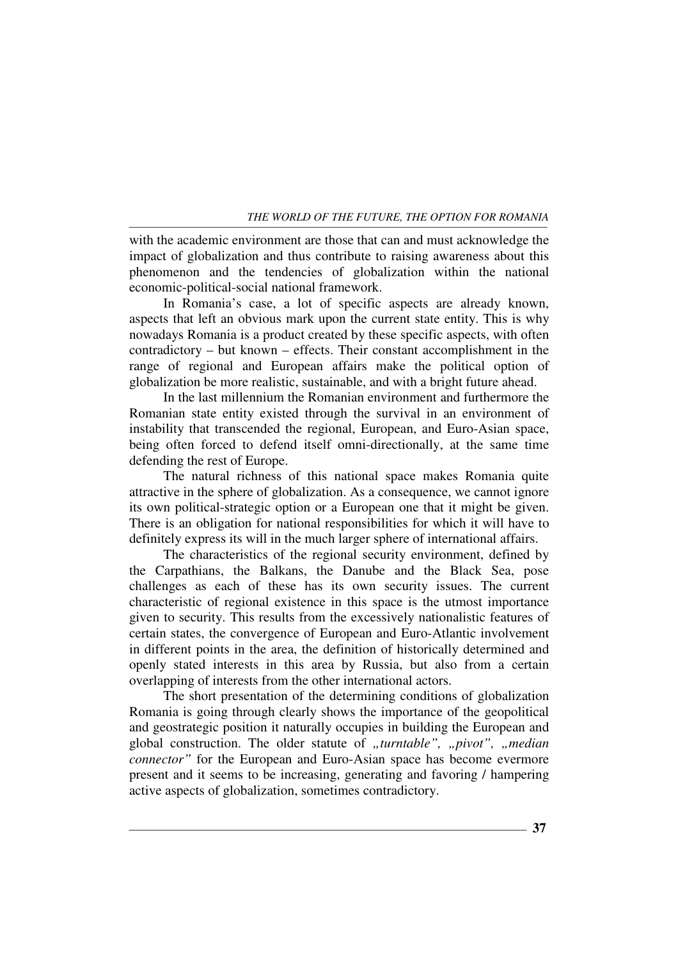with the academic environment are those that can and must acknowledge the impact of globalization and thus contribute to raising awareness about this phenomenon and the tendencies of globalization within the national economic-political-social national framework.

In Romania's case, a lot of specific aspects are already known, aspects that left an obvious mark upon the current state entity. This is why nowadays Romania is a product created by these specific aspects, with often contradictory – but known – effects. Their constant accomplishment in the range of regional and European affairs make the political option of globalization be more realistic, sustainable, and with a bright future ahead.

In the last millennium the Romanian environment and furthermore the Romanian state entity existed through the survival in an environment of instability that transcended the regional, European, and Euro-Asian space, being often forced to defend itself omni-directionally, at the same time defending the rest of Europe.

The natural richness of this national space makes Romania quite attractive in the sphere of globalization. As a consequence, we cannot ignore its own political-strategic option or a European one that it might be given. There is an obligation for national responsibilities for which it will have to definitely express its will in the much larger sphere of international affairs.

The characteristics of the regional security environment, defined by the Carpathians, the Balkans, the Danube and the Black Sea, pose challenges as each of these has its own security issues. The current characteristic of regional existence in this space is the utmost importance given to security. This results from the excessively nationalistic features of certain states, the convergence of European and Euro-Atlantic involvement in different points in the area, the definition of historically determined and openly stated interests in this area by Russia, but also from a certain overlapping of interests from the other international actors.

The short presentation of the determining conditions of globalization Romania is going through clearly shows the importance of the geopolitical and geostrategic position it naturally occupies in building the European and global construction. The older statute of "turntable", "pivot", "median *connector"* for the European and Euro-Asian space has become evermore present and it seems to be increasing, generating and favoring / hampering active aspects of globalization, sometimes contradictory.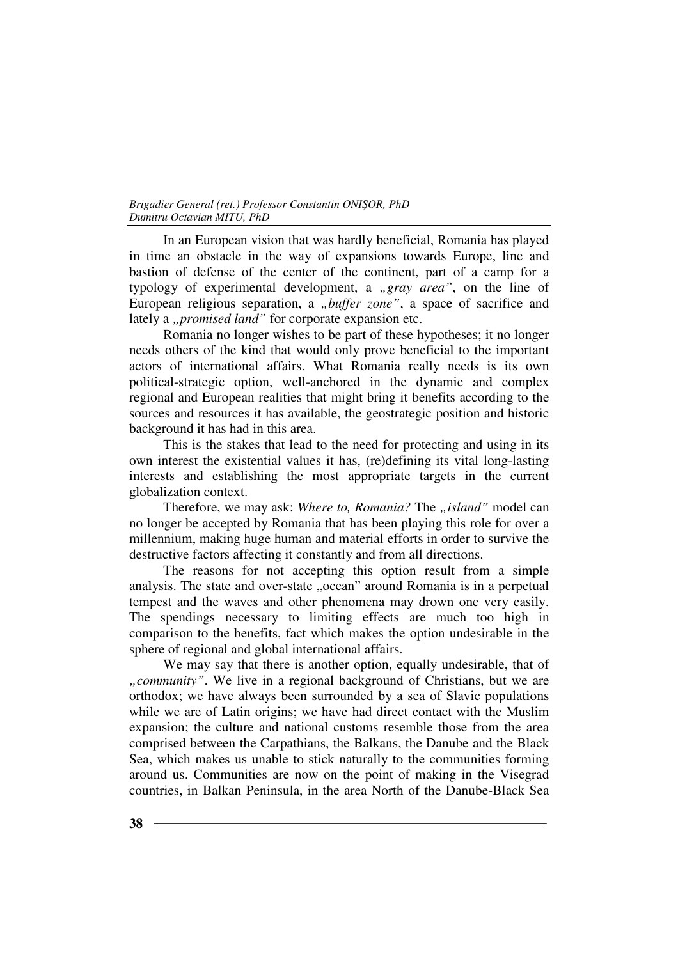In an European vision that was hardly beneficial, Romania has played in time an obstacle in the way of expansions towards Europe, line and bastion of defense of the center of the continent, part of a camp for a typology of experimental development, a "*gray area*", on the line of European religious separation, a *"buffer zone"*, a space of sacrifice and lately a "*promised land*" for corporate expansion etc.

Romania no longer wishes to be part of these hypotheses; it no longer needs others of the kind that would only prove beneficial to the important actors of international affairs. What Romania really needs is its own political-strategic option, well-anchored in the dynamic and complex regional and European realities that might bring it benefits according to the sources and resources it has available, the geostrategic position and historic background it has had in this area.

This is the stakes that lead to the need for protecting and using in its own interest the existential values it has, (re)defining its vital long-lasting interests and establishing the most appropriate targets in the current globalization context.

Therefore, we may ask: Where to, Romania? The "island" model can no longer be accepted by Romania that has been playing this role for over a millennium, making huge human and material efforts in order to survive the destructive factors affecting it constantly and from all directions.

The reasons for not accepting this option result from a simple analysis. The state and over-state "ocean" around Romania is in a perpetual tempest and the waves and other phenomena may drown one very easily. The spendings necessary to limiting effects are much too high in comparison to the benefits, fact which makes the option undesirable in the sphere of regional and global international affairs.

We may say that there is another option, equally undesirable, that of *"community"*. We live in a regional background of Christians, but we are orthodox; we have always been surrounded by a sea of Slavic populations while we are of Latin origins; we have had direct contact with the Muslim expansion; the culture and national customs resemble those from the area comprised between the Carpathians, the Balkans, the Danube and the Black Sea, which makes us unable to stick naturally to the communities forming around us. Communities are now on the point of making in the Visegrad countries, in Balkan Peninsula, in the area North of the Danube-Black Sea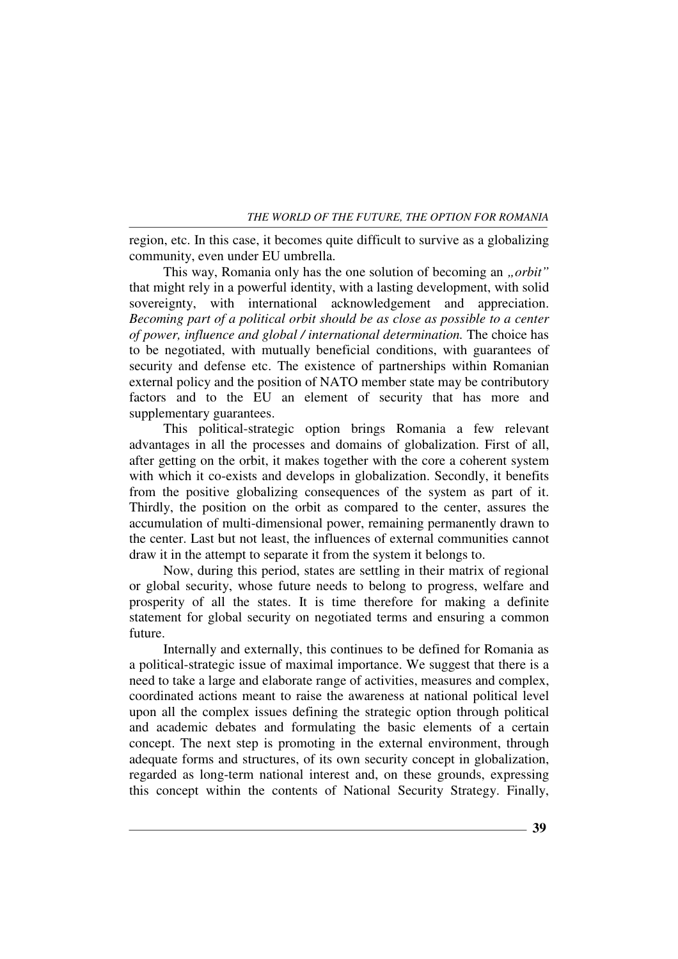region, etc. In this case, it becomes quite difficult to survive as a globalizing community, even under EU umbrella.

This way, Romania only has the one solution of becoming an *.orbit*" that might rely in a powerful identity, with a lasting development, with solid sovereignty, with international acknowledgement and appreciation. *Becoming part of a political orbit should be as close as possible to a center of power, influence and global / international determination.* The choice has to be negotiated, with mutually beneficial conditions, with guarantees of security and defense etc. The existence of partnerships within Romanian external policy and the position of NATO member state may be contributory factors and to the EU an element of security that has more and supplementary guarantees.

This political-strategic option brings Romania a few relevant advantages in all the processes and domains of globalization. First of all, after getting on the orbit, it makes together with the core a coherent system with which it co-exists and develops in globalization. Secondly, it benefits from the positive globalizing consequences of the system as part of it. Thirdly, the position on the orbit as compared to the center, assures the accumulation of multi-dimensional power, remaining permanently drawn to the center. Last but not least, the influences of external communities cannot draw it in the attempt to separate it from the system it belongs to.

Now, during this period, states are settling in their matrix of regional or global security, whose future needs to belong to progress, welfare and prosperity of all the states. It is time therefore for making a definite statement for global security on negotiated terms and ensuring a common future.

Internally and externally, this continues to be defined for Romania as a political-strategic issue of maximal importance. We suggest that there is a need to take a large and elaborate range of activities, measures and complex, coordinated actions meant to raise the awareness at national political level upon all the complex issues defining the strategic option through political and academic debates and formulating the basic elements of a certain concept. The next step is promoting in the external environment, through adequate forms and structures, of its own security concept in globalization, regarded as long-term national interest and, on these grounds, expressing this concept within the contents of National Security Strategy. Finally,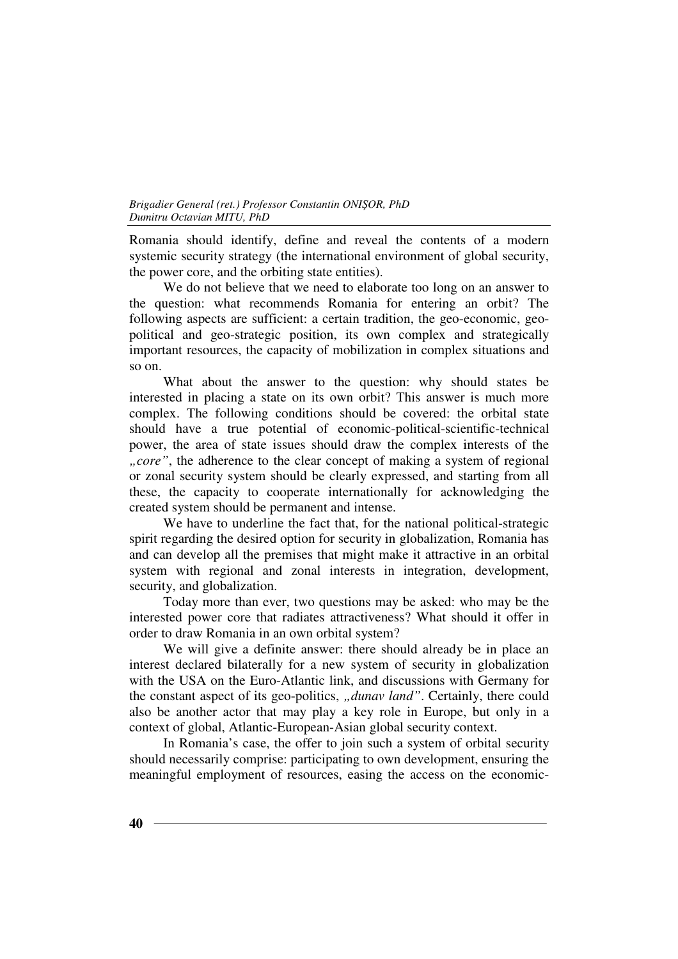Romania should identify, define and reveal the contents of a modern systemic security strategy (the international environment of global security, the power core, and the orbiting state entities).

We do not believe that we need to elaborate too long on an answer to the question: what recommends Romania for entering an orbit? The following aspects are sufficient: a certain tradition, the geo-economic, geopolitical and geo-strategic position, its own complex and strategically important resources, the capacity of mobilization in complex situations and so on.

What about the answer to the question: why should states be interested in placing a state on its own orbit? This answer is much more complex. The following conditions should be covered: the orbital state should have a true potential of economic-political-scientific-technical power, the area of state issues should draw the complex interests of the *", core"*, the adherence to the clear concept of making a system of regional or zonal security system should be clearly expressed, and starting from all these, the capacity to cooperate internationally for acknowledging the created system should be permanent and intense.

We have to underline the fact that, for the national political-strategic spirit regarding the desired option for security in globalization, Romania has and can develop all the premises that might make it attractive in an orbital system with regional and zonal interests in integration, development, security, and globalization.

Today more than ever, two questions may be asked: who may be the interested power core that radiates attractiveness? What should it offer in order to draw Romania in an own orbital system?

We will give a definite answer: there should already be in place an interest declared bilaterally for a new system of security in globalization with the USA on the Euro-Atlantic link, and discussions with Germany for the constant aspect of its geo-politics, *"dunav land*". Certainly, there could also be another actor that may play a key role in Europe, but only in a context of global, Atlantic-European-Asian global security context.

In Romania's case, the offer to join such a system of orbital security should necessarily comprise: participating to own development, ensuring the meaningful employment of resources, easing the access on the economic-